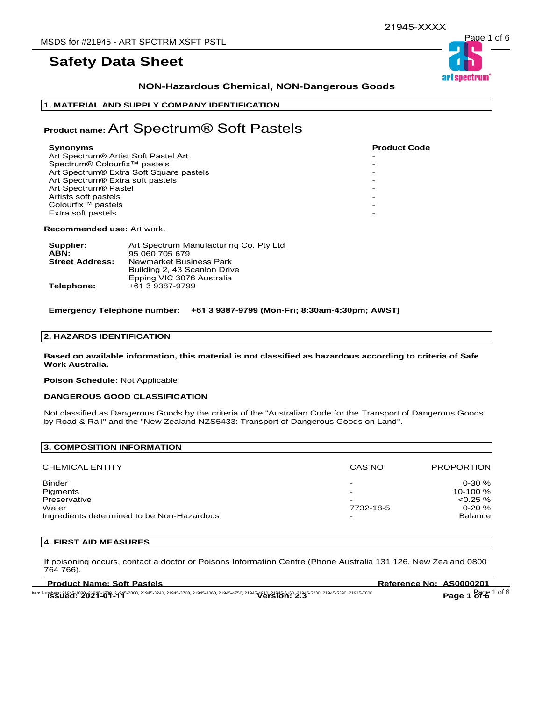# **NON-Hazardous Chemical, NON-Dangerous Goods**

# **1. MATERIAL AND SUPPLY COMPANY IDENTIFICATION**

# **Product name:** Art Spectrum® Soft Pastels

| Synonyms                                         | <b>Product Code</b> |
|--------------------------------------------------|---------------------|
| Art Spectrum <sup>®</sup> Artist Soft Pastel Art |                     |
| Spectrum® Colourfix <sup>™</sup> pastels         |                     |
| Art Spectrum® Extra Soft Square pastels          |                     |
| Art Spectrum <sup>®</sup> Extra soft pastels     |                     |
| Art Spectrum <sup>®</sup> Pastel                 |                     |
| Artists soft pastels                             |                     |
| Colourfix <sup>™</sup> pastels                   |                     |
| Extra soft pastels                               |                     |
|                                                  |                     |

**Recommended use:** Art work.

| Supplier:              | Art Spectrum Manufacturing Co. Pty Ltd |
|------------------------|----------------------------------------|
| ABN:                   | 95 060 705 679                         |
| <b>Street Address:</b> | Newmarket Business Park                |
|                        | Building 2, 43 Scanlon Drive           |
|                        | Epping VIC 3076 Australia              |
| Telephone:             | +61 3 9387-9799                        |

**Emergency Telephone number: +61 3 9387-9799 (Mon-Fri; 8:30am-4:30pm; AWST)**

# **2. HAZARDS IDENTIFICATION**

**Based on available information, this material is not classified as hazardous according to criteria of Safe Work Australia.**

**Poison Schedule:** Not Applicable

### **DANGEROUS GOOD CLASSIFICATION**

Not classified as Dangerous Goods by the criteria of the "Australian Code for the Transport of Dangerous Goods by Road & Rail" and the "New Zealand NZS5433: Transport of Dangerous Goods on Land".

| <b>3. COMPOSITION INFORMATION</b>          |                          |                   |
|--------------------------------------------|--------------------------|-------------------|
| <b>CHEMICAL ENTITY</b>                     | CAS NO                   | <b>PROPORTION</b> |
| <b>Binder</b>                              | -                        | $0 - 30 \%$       |
| Pigments                                   | -                        | 10-100 %          |
| Preservative                               | $\overline{\phantom{0}}$ | $< 0.25 \%$       |
| Water                                      | 7732-18-5                | $0-20%$           |
| Ingredients determined to be Non-Hazardous | -                        | <b>Balance</b>    |

# **4. FIRST AID MEASURES**

If poisoning occurs, contact a doctor or Poisons Information Centre (Phone Australia 131 126, New Zealand 0800 764 766).

21945-XXXX art spectrum

| Page 1 $61^\circ$ <sup>Page 1 of</sup> |  |  |  |
|----------------------------------------|--|--|--|
|----------------------------------------|--|--|--|

ltem Numbers: 21945-1020 02045-1789 21945-2800, 21945-3240, 21945-3760, 21945-4060, 21945-4750, 21945-5160 21945-5230, 21945-5390, 21945-7800 **Page 1 of 6** Page 1 of 6

**Product Name: Soft Pastels Reference No: AS0000201**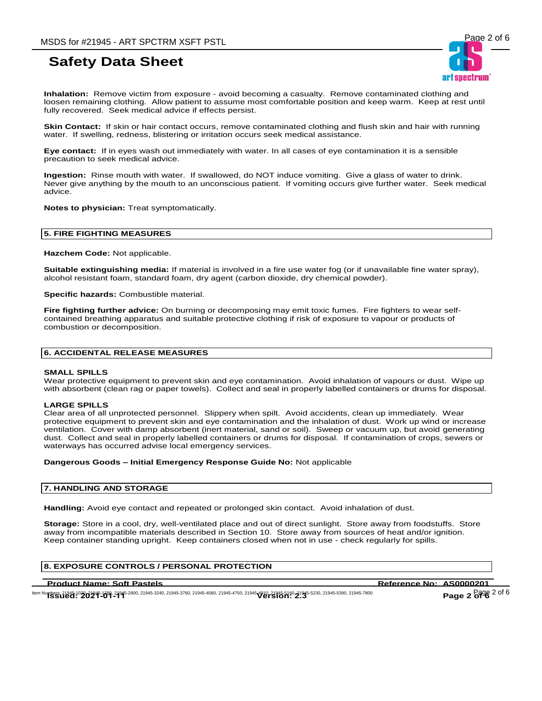**Inhalation:** Remove victim from exposure - avoid becoming a casualty. Remove contaminated clothing and loosen remaining clothing. Allow patient to assume most comfortable position and keep warm. Keep at rest until fully recovered. Seek medical advice if effects persist.

**Skin Contact:** If skin or hair contact occurs, remove contaminated clothing and flush skin and hair with running water. If swelling, redness, blistering or irritation occurs seek medical assistance.

**Eye contact:** If in eyes wash out immediately with water. In all cases of eye contamination it is a sensible precaution to seek medical advice.

**Ingestion:** Rinse mouth with water. If swallowed, do NOT induce vomiting. Give a glass of water to drink. Never give anything by the mouth to an unconscious patient. If vomiting occurs give further water. Seek medical advice.

**Notes to physician:** Treat symptomatically.

# **5. FIRE FIGHTING MEASURES**

**Hazchem Code:** Not applicable.

**Suitable extinguishing media:** If material is involved in a fire use water fog (or if unavailable fine water spray), alcohol resistant foam, standard foam, dry agent (carbon dioxide, dry chemical powder).

**Specific hazards:** Combustible material.

**Fire fighting further advice:** On burning or decomposing may emit toxic fumes. Fire fighters to wear selfcontained breathing apparatus and suitable protective clothing if risk of exposure to vapour or products of combustion or decomposition.

# **6. ACCIDENTAL RELEASE MEASURES**

### **SMALL SPILLS**

Wear protective equipment to prevent skin and eye contamination. Avoid inhalation of vapours or dust. Wipe up with absorbent (clean rag or paper towels). Collect and seal in properly labelled containers or drums for disposal.

# **LARGE SPILLS**

Clear area of all unprotected personnel. Slippery when spilt. Avoid accidents, clean up immediately. Wear protective equipment to prevent skin and eye contamination and the inhalation of dust. Work up wind or increase ventilation. Cover with damp absorbent (inert material, sand or soil). Sweep or vacuum up, but avoid generating dust. Collect and seal in properly labelled containers or drums for disposal. If contamination of crops, sewers or waterways has occurred advise local emergency services.

### **Dangerous Goods – Initial Emergency Response Guide No:** Not applicable

### **7. HANDLING AND STORAGE**

**Handling:** Avoid eye contact and repeated or prolonged skin contact. Avoid inhalation of dust.

**Storage:** Store in a cool, dry, well-ventilated place and out of direct sunlight. Store away from foodstuffs. Store away from incompatible materials described in Section 10. Store away from sources of heat and/or ignition. Keep container standing upright. Keep containers closed when not in use - check regularly for spills.

# **8. EXPOSURE CONTROLS / PERSONAL PROTECTION**

Product Name: Soft Pastels<br>
Figures: 21945-109 2995-1799-21945-2800, 21945-3240, 21945-3760, 21945-4060, 21945-4750, 21945-5190 21945-51<br> **Page 2 of 6** Page 2 of 6 Page 2 of 6 Page 2 of 6 Page 2 of 6 Page 2 of 6 Page 2 of ltem Numbers: 21945-1020 02045-1789 21945-2800, 21945-3240, 21945-3760, 21945-4060, 21945-4750, 21945-5160 21945-5230, 21945-5390, 21945-7800

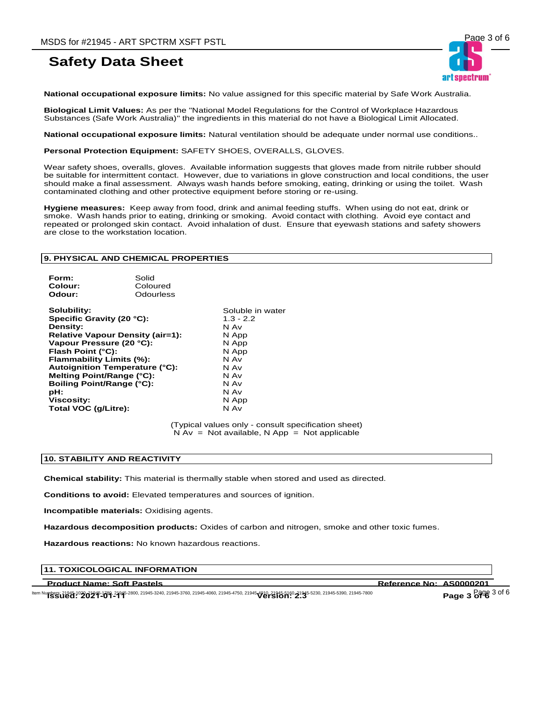

**National occupational exposure limits:** No value assigned for this specific material by Safe Work Australia.

**Biological Limit Values:** As per the "National Model Regulations for the Control of Workplace Hazardous Substances (Safe Work Australia)" the ingredients in this material do not have a Biological Limit Allocated.

**National occupational exposure limits:** Natural ventilation should be adequate under normal use conditions..

**Personal Protection Equipment:** SAFETY SHOES, OVERALLS, GLOVES.

Wear safety shoes, overalls, gloves. Available information suggests that gloves made from nitrile rubber should be suitable for intermittent contact. However, due to variations in glove construction and local conditions, the user should make a final assessment. Always wash hands before smoking, eating, drinking or using the toilet. Wash contaminated clothing and other protective equipment before storing or re-using.

**Hygiene measures:** Keep away from food, drink and animal feeding stuffs. When using do not eat, drink or smoke. Wash hands prior to eating, drinking or smoking. Avoid contact with clothing. Avoid eye contact and repeated or prolonged skin contact. Avoid inhalation of dust. Ensure that eyewash stations and safety showers are close to the workstation location.

# **9. PHYSICAL AND CHEMICAL PROPERTIES**

| Form:   | Solid     |
|---------|-----------|
| Colour: | Coloured  |
| Odour:  | Odourless |
|         |           |

**Solubility:**<br> **Soluble in water**<br> **Specific Gravity (20 °C):**<br> **Solubility:** Soluble in water **Specific Gravity (20 °C):** 1.3 -<br>**Density:** N Av **Density: Relative Vapour Density (air=1):** N App **Vapour Pressure (20 °C):** N App<br>**Flash Point (°C):** N App **Flash Point (°C):** N App **Flammability Limits (%):** N Av<br>**Autoignition Temperature (°C):** N Av **Autoignition Temperature (°C):** N Av<br>**Melting Point/Range (°C):** N Av **Melting Point/Range (°C):** N Av **Boiling Point/Range (°C): pH:** N Av **Viscosity:** N App **Total VOC (g/Litre):** 

(Typical values only - consult specification sheet)  $N Av = Not available, N App = Not applicable$ 

### **10. STABILITY AND REACTIVITY**

**Chemical stability:** This material is thermally stable when stored and used as directed.

**Conditions to avoid:** Elevated temperatures and sources of ignition.

**Incompatible materials:** Oxidising agents.

**Hazardous decomposition products:** Oxides of carbon and nitrogen, smoke and other toxic fumes.

**Hazardous reactions:** No known hazardous reactions.

# **11. TOXICOLOGICAL INFORMATION**

Product Name: Soft Pastels<br>
Feroduct Name: Soft Pastels<br>
ISSUed: 2021-01-213-2800, 21945-3240, 21945-3760, 21945-4060, 21945-4750, 21945-5160, 21945-5160, 21945-5390, 21945-7800<br>
ISSUed: 2021-01-213 ltem Numbers: 21945-1020 02945-1789 21945-2800, 21945-3240, 21945-3760, 21945-4060, 21945-4750, 21945-5160 21945-5230, 21945-5390, 21945-7800 **Page 3 of 6** Page 3 of 6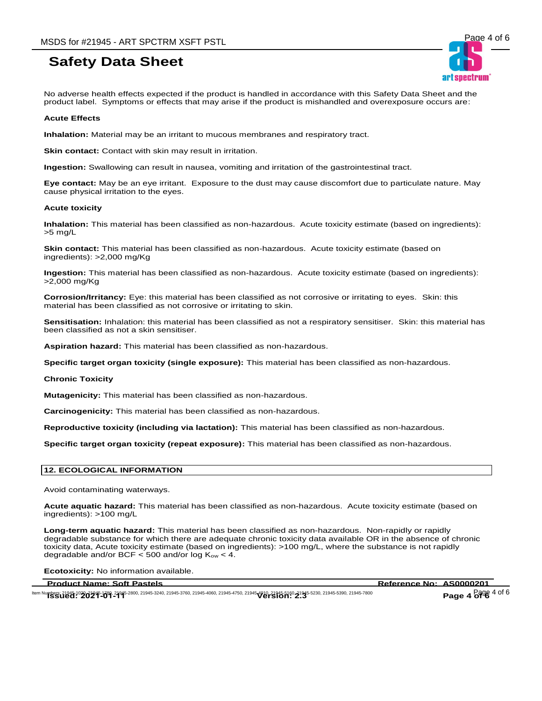No adverse health effects expected if the product is handled in accordance with this Safety Data Sheet and the product label. Symptoms or effects that may arise if the product is mishandled and overexposure occurs are:

# **Acute Effects**

**Inhalation:** Material may be an irritant to mucous membranes and respiratory tract.

**Skin contact:** Contact with skin may result in irritation.

**Ingestion:** Swallowing can result in nausea, vomiting and irritation of the gastrointestinal tract.

**Eye contact:** May be an eye irritant. Exposure to the dust may cause discomfort due to particulate nature. May cause physical irritation to the eyes.

### **Acute toxicity**

**Inhalation:** This material has been classified as non-hazardous. Acute toxicity estimate (based on ingredients): >5 mg/L

**Skin contact:** This material has been classified as non-hazardous. Acute toxicity estimate (based on ingredients): >2,000 mg/Kg

**Ingestion:** This material has been classified as non-hazardous. Acute toxicity estimate (based on ingredients): >2,000 mg/Kg

**Corrosion/Irritancy:** Eye: this material has been classified as not corrosive or irritating to eyes. Skin: this material has been classified as not corrosive or irritating to skin.

**Sensitisation:** Inhalation: this material has been classified as not a respiratory sensitiser. Skin: this material has been classified as not a skin sensitiser.

**Aspiration hazard:** This material has been classified as non-hazardous.

**Specific target organ toxicity (single exposure):** This material has been classified as non-hazardous.

### **Chronic Toxicity**

**Mutagenicity:** This material has been classified as non-hazardous.

**Carcinogenicity:** This material has been classified as non-hazardous.

**Reproductive toxicity (including via lactation):** This material has been classified as non-hazardous.

**Specific target organ toxicity (repeat exposure):** This material has been classified as non-hazardous.

# **12. ECOLOGICAL INFORMATION**

Avoid contaminating waterways.

**Acute aquatic hazard:** This material has been classified as non-hazardous. Acute toxicity estimate (based on ingredients): >100 mg/L

**Long-term aquatic hazard:** This material has been classified as non-hazardous. Non-rapidly or rapidly degradable substance for which there are adequate chronic toxicity data available OR in the absence of chronic toxicity data, Acute toxicity estimate (based on ingredients): >100 mg/L, where the substance is not rapidly degradable and/or BCF  $<$  500 and/or log K<sub>ow</sub>  $<$  4.

**Ecotoxicity:** No information available.

| Reference No |  |
|--------------|--|
|              |  |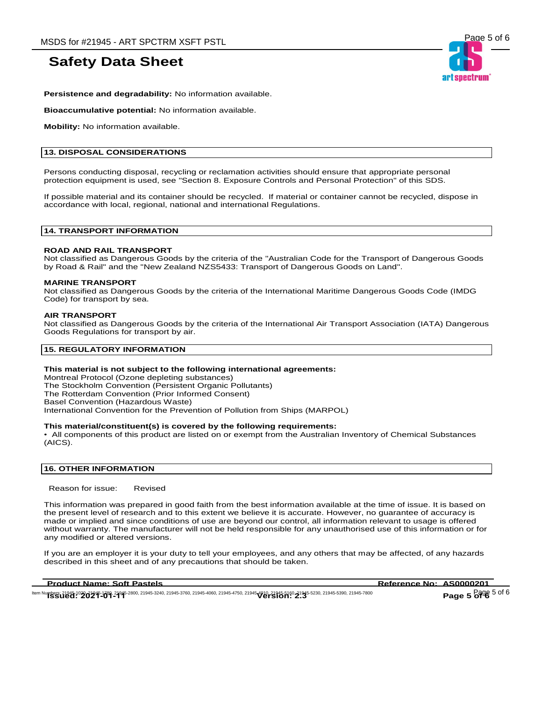

**Persistence and degradability:** No information available.

**Bioaccumulative potential:** No information available.

**Mobility:** No information available.

# **13. DISPOSAL CONSIDERATIONS**

Persons conducting disposal, recycling or reclamation activities should ensure that appropriate personal protection equipment is used, see "Section 8. Exposure Controls and Personal Protection" of this SDS.

If possible material and its container should be recycled. If material or container cannot be recycled, dispose in accordance with local, regional, national and international Regulations.

# **14. TRANSPORT INFORMATION**

# **ROAD AND RAIL TRANSPORT**

Not classified as Dangerous Goods by the criteria of the "Australian Code for the Transport of Dangerous Goods by Road & Rail" and the "New Zealand NZS5433: Transport of Dangerous Goods on Land".

### **MARINE TRANSPORT**

Not classified as Dangerous Goods by the criteria of the International Maritime Dangerous Goods Code (IMDG Code) for transport by sea.

### **AIR TRANSPORT**

Not classified as Dangerous Goods by the criteria of the International Air Transport Association (IATA) Dangerous Goods Regulations for transport by air.

# **15. REGULATORY INFORMATION**

# **This material is not subject to the following international agreements:**

Montreal Protocol (Ozone depleting substances) The Stockholm Convention (Persistent Organic Pollutants) The Rotterdam Convention (Prior Informed Consent) Basel Convention (Hazardous Waste) International Convention for the Prevention of Pollution from Ships (MARPOL)

# **This material/constituent(s) is covered by the following requirements:**

• All components of this product are listed on or exempt from the Australian Inventory of Chemical Substances (AICS).

# **16. OTHER INFORMATION**

Reason for issue: Revised

This information was prepared in good faith from the best information available at the time of issue. It is based on the present level of research and to this extent we believe it is accurate. However, no guarantee of accuracy is made or implied and since conditions of use are beyond our control, all information relevant to usage is offered without warranty. The manufacturer will not be held responsible for any unauthorised use of this information or for any modified or altered versions.

If you are an employer it is your duty to tell your employees, and any others that may be affected, of any hazards described in this sheet and of any precautions that should be taken.